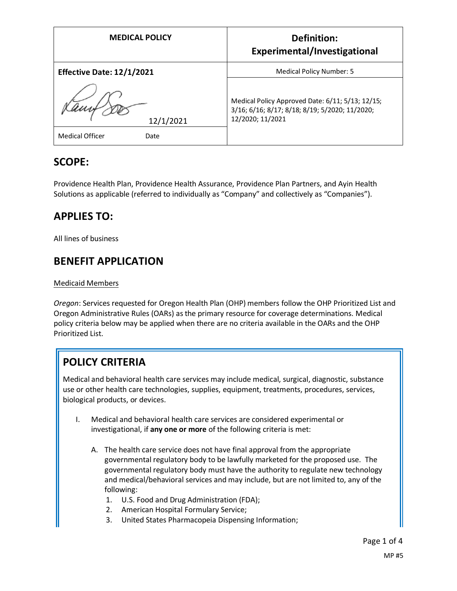| <b>MEDICAL POLICY</b>                | <b>Definition:</b><br>Experimental/Investigational                                                                     |
|--------------------------------------|------------------------------------------------------------------------------------------------------------------------|
| <b>Effective Date: 12/1/2021</b>     | Medical Policy Number: 5                                                                                               |
| 12/1/2021<br>Medical Officer<br>Date | Medical Policy Approved Date: 6/11; 5/13; 12/15;<br>3/16; 6/16; 8/17; 8/18; 8/19; 5/2020; 11/2020;<br>12/2020; 11/2021 |

#### **SCOPE:**

Providence Health Plan, Providence Health Assurance, Providence Plan Partners, and Ayin Health Solutions as applicable (referred to individually as "Company" and collectively as "Companies").

### **APPLIES TO:**

All lines of business

# **BENEFIT APPLICATION**

#### Medicaid Members

*Oregon*: Services requested for Oregon Health Plan (OHP) members follow the OHP Prioritized List and Oregon Administrative Rules (OARs) as the primary resource for coverage determinations. Medical policy criteria below may be applied when there are no criteria available in the OARs and the OHP Prioritized List.

# **POLICY CRITERIA**

Medical and behavioral health care services may include medical, surgical, diagnostic, substance use or other health care technologies, supplies, equipment, treatments, procedures, services, biological products, or devices.

- I. Medical and behavioral health care services are considered experimental or investigational, if **any one or more** of the following criteria is met:
	- A. The health care service does not have final approval from the appropriate governmental regulatory body to be lawfully marketed for the proposed use. The governmental regulatory body must have the authority to regulate new technology and medical/behavioral services and may include, but are not limited to, any of the following:
		- 1. U.S. Food and Drug Administration (FDA);
		- 2. American Hospital Formulary Service;
		- 3. United States Pharmacopeia Dispensing Information;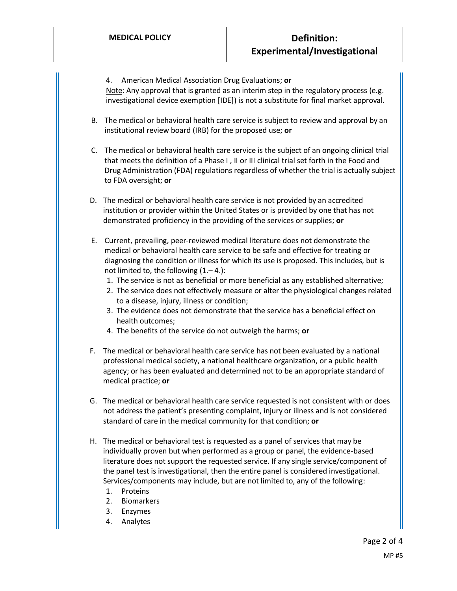4. American Medical Association Drug Evaluations; **or** Note: Any approval that is granted as an interim step in the regulatory process (e.g. investigational device exemption [IDE]) is not a substitute for final market approval.

- B. The medical or behavioral health care service is subject to review and approval by an institutional review board (IRB) for the proposed use; **or**
- C. The medical or behavioral health care service is the subject of an ongoing clinical trial that meets the definition of a Phase I , II or III clinical trial set forth in the Food and Drug Administration (FDA) regulations regardless of whether the trial is actually subject to FDA oversight; **or**
- D. The medical or behavioral health care service is not provided by an accredited institution or provider within the United States or is provided by one that has not demonstrated proficiency in the providing of the services or supplies; **or**
- E. Current, prevailing, peer-reviewed medical literature does not demonstrate the medical or behavioral health care service to be safe and effective for treating or diagnosing the condition or illness for which its use is proposed. This includes, but is not limited to, the following (1.– 4.):
	- 1. The service is not as beneficial or more beneficial as any established alternative;
	- 2. The service does not effectively measure or alter the physiological changes related to a disease, injury, illness or condition;
	- 3. The evidence does not demonstrate that the service has a beneficial effect on health outcomes;
	- 4. The benefits of the service do not outweigh the harms; **or**
- F. The medical or behavioral health care service has not been evaluated by a national professional medical society, a national healthcare organization, or a public health agency; or has been evaluated and determined not to be an appropriate standard of medical practice; **or**
- G. The medical or behavioral health care service requested is not consistent with or does not address the patient's presenting complaint, injury or illness and is not considered standard of care in the medical community for that condition; **or**
- H. The medical or behavioral test is requested as a panel of services that may be individually proven but when performed as a group or panel, the evidence-based literature does not support the requested service. If any single service/component of the panel test is investigational, then the entire panel is considered investigational. Services/components may include, but are not limited to, any of the following:
	- 1. Proteins
	- 2. Biomarkers
	- 3. Enzymes
	- 4. Analytes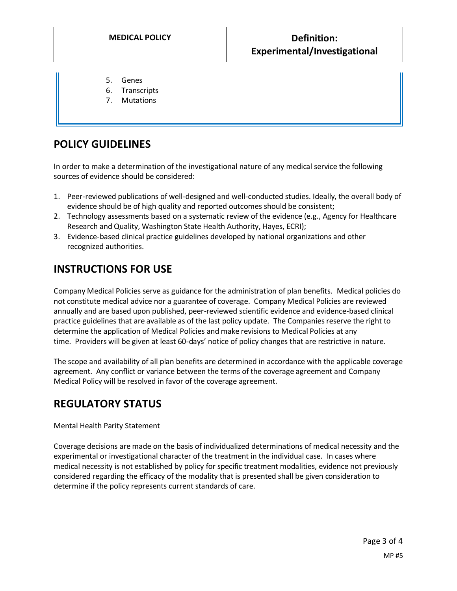- 5. Genes
- 6. Transcripts
- 7. Mutations

### **POLICY GUIDELINES**

In order to make a determination of the investigational nature of any medical service the following sources of evidence should be considered:

- 1. Peer-reviewed publications of well-designed and well-conducted studies. Ideally, the overall body of evidence should be of high quality and reported outcomes should be consistent;
- 2. Technology assessments based on a systematic review of the evidence (e.g., Agency for Healthcare Research and Quality, Washington State Health Authority, Hayes, ECRI);
- 3. Evidence-based clinical practice guidelines developed by national organizations and other recognized authorities.

## **INSTRUCTIONS FOR USE**

Company Medical Policies serve as guidance for the administration of plan benefits. Medical policies do not constitute medical advice nor a guarantee of coverage. Company Medical Policies are reviewed annually and are based upon published, peer-reviewed scientific evidence and evidence-based clinical practice guidelines that are available as of the last policy update. The Companies reserve the right to determine the application of Medical Policies and make revisions to Medical Policies at any time. Providers will be given at least 60-days' notice of policy changes that are restrictive in nature.

The scope and availability of all plan benefits are determined in accordance with the applicable coverage agreement. Any conflict or variance between the terms of the coverage agreement and Company Medical Policy will be resolved in favor of the coverage agreement.

#### **REGULATORY STATUS**

#### Mental Health Parity Statement

Coverage decisions are made on the basis of individualized determinations of medical necessity and the experimental or investigational character of the treatment in the individual case. In cases where medical necessity is not established by policy for specific treatment modalities, evidence not previously considered regarding the efficacy of the modality that is presented shall be given consideration to determine if the policy represents current standards of care.